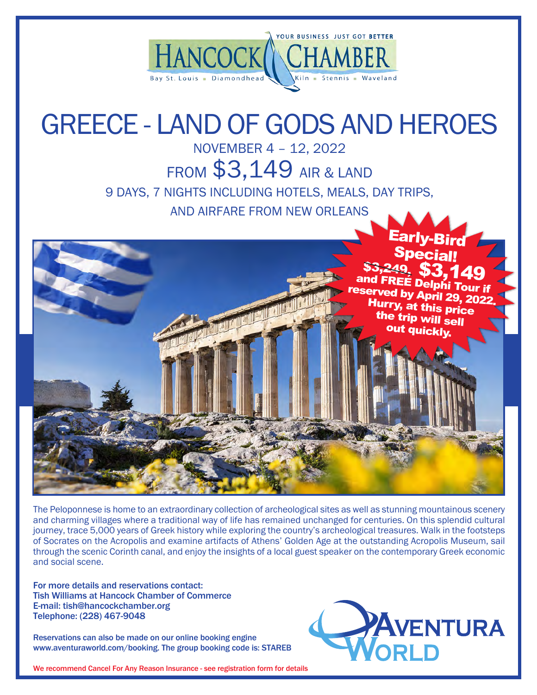

# GREECE - LAND OF GODS AND HEROES

NOVEMBER 4 – 12, 2022

FROM \$3,149 AIR & LAND

9 DAYS, 7 NIGHTS INCLUDING HOTELS, MEALS, DAY TRIPS,

AND AIRFARE FROM NEW ORLEANS



The Peloponnese is home to an extraordinary collection of archeological sites as well as stunning mountainous scenery and charming villages where a traditional way of life has remained unchanged for centuries. On this splendid cultural journey, trace 5,000 years of Greek history while exploring the country's archeological treasures. Walk in the footsteps of Socrates on the Acropolis and examine artifacts of Athens' Golden Age at the outstanding Acropolis Museum, sail through the scenic Corinth canal, and enjoy the insights of a local guest speaker on the contemporary Greek economic and social scene.

For more details and reservations contact: Tish Williams at Hancock Chamber of Commerce E-mail: tish@hancockchamber.org Telephone: (228) 467-9048

Reservations can also be made on our online booking engine www.aventuraworld.com/booking. The group booking code is: STAREB



We recommend Cancel For Any Reason Insurance - see registration form for details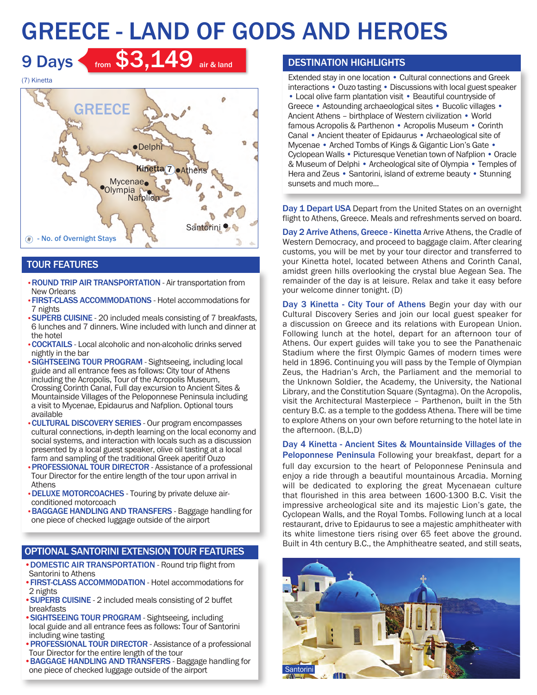# GREECE - LAND OF GODS AND HEROES



9 Days from  $$3,149$  air & land

# TOUR FEATURES

- •ROUND TRIP AIR TRANSPORTATION Air transportation from New Orleans
- •FIRST-CLASS ACCOMMODATIONS Hotel accommodations for 7 nights
- •SUPERB CUISINE 20 included meals consisting of 7 breakfasts, 6 lunches and 7 dinners. Wine included with lunch and dinner at the hotel
- •COCKTAILS Local alcoholic and non-alcoholic drinks served nightly in the bar
- SIGHTSEEING TOUR PROGRAM Sightseeing, including local guide and all entrance fees as follows: City tour of Athens including the Acropolis, Tour of the Acropolis Museum, Crossing Corinth Canal, Full day excursion to Ancient Sites & Mountainside Villages of the Peloponnese Peninsula including a visit to Mycenae, Epidaurus and Nafplion. Optional tours available
- •CULTURAL DISCOVERY SERIES Our program encompasses cultural connections, in-depth learning on the local economy and social systems, and interaction with locals such as a discussion presented by a local guest speaker, olive oil tasting at a local farm and sampling of the traditional Greek aperitif Ouzo
- •PROFESSIONAL TOUR DIRECTOR Assistance of a professional Tour Director for the entire length of the tour upon arrival in Athens
- •DELUXE MOTORCOACHES Touring by private deluxe airconditioned motorcoach
- •BAGGAGE HANDLING AND TRANSFERS Baggage handling for one piece of checked luggage outside of the airport

# OPTIONAL SANTORINI EXTENSION TOUR FEATURES

- •DOMESTIC AIR TRANSPORTATION Round trip flight from Santorini to Athens
- •FIRST-CLASS ACCOMMODATION Hotel accommodations for 2 nights
- •SUPERB CUISINE 2 included meals consisting of 2 buffet breakfasts
- •SIGHTSEEING TOUR PROGRAM Sightseeing, including local guide and all entrance fees as follows: Tour of Santorini including wine tasting
- **PROFESSIONAL TOUR DIRECTOR** Assistance of a professional Tour Director for the entire length of the tour
- •BAGGAGE HANDLING AND TRANSFERS Baggage handling for one piece of checked luggage outside of the airport

## DESTINATION HIGHLIGHTS

Extended stay in one location • Cultural connections and Greek interactions • Ouzo tasting • Discussions with local guest speaker • Local olive farm plantation visit • Beautiful countryside of Greece • Astounding archaeological sites • Bucolic villages • Ancient Athens – birthplace of Western civilization • World famous Acropolis & Parthenon • Acropolis Museum • Corinth Canal • Ancient theater of Epidaurus • Archaeological site of Mycenae • Arched Tombs of Kings & Gigantic Lion's Gate • Cyclopean Walls • Picturesque Venetian town of Nafplion • Oracle & Museum of Delphi • Archeological site of Olympia • Temples of Hera and Zeus • Santorini, island of extreme beauty • Stunning sunsets and much more...

Day 1 Depart USA Depart from the United States on an overnight flight to Athens, Greece. Meals and refreshments served on board.

Day 2 Arrive Athens, Greece - Kinetta Arrive Athens, the Cradle of Western Democracy, and proceed to baggage claim. After clearing customs, you will be met by your tour director and transferred to your Kinetta hotel, located between Athens and Corinth Canal, amidst green hills overlooking the crystal blue Aegean Sea. The remainder of the day is at leisure. Relax and take it easy before your welcome dinner tonight. (D)

Day 3 Kinetta - City Tour of Athens Begin your day with our Cultural Discovery Series and join our local guest speaker for a discussion on Greece and its relations with European Union. Following lunch at the hotel, depart for an afternoon tour of Athens. Our expert guides will take you to see the Panathenaic Stadium where the first Olympic Games of modern times were held in 1896. Continuing you will pass by the Temple of Olympian Zeus, the Hadrian's Arch, the Parliament and the memorial to the Unknown Soldier, the Academy, the University, the National Library, and the Constitution Square (Syntagma). On the Acropolis, visit the Architectural Masterpiece – Parthenon, built in the 5th century B.C. as a temple to the goddess Athena. There will be time to explore Athens on your own before returning to the hotel late in the afternoon. (B,L,D)

Day 4 Kinetta - Ancient Sites & Mountainside Villages of the Peloponnese Peninsula Following your breakfast, depart for a full day excursion to the heart of Peloponnese Peninsula and enjoy a ride through a beautiful mountainous Arcadia. Morning will be dedicated to exploring the great Mycenaean culture that flourished in this area between 1600-1300 B.C. Visit the impressive archeological site and its majestic Lion's gate, the Cyclopean Walls, and the Royal Tombs. Following lunch at a local restaurant, drive to Epidaurus to see a majestic amphitheater with its white limestone tiers rising over 65 feet above the ground. Built in 4th century B.C., the Amphitheatre seated, and still seats,

![](_page_1_Picture_25.jpeg)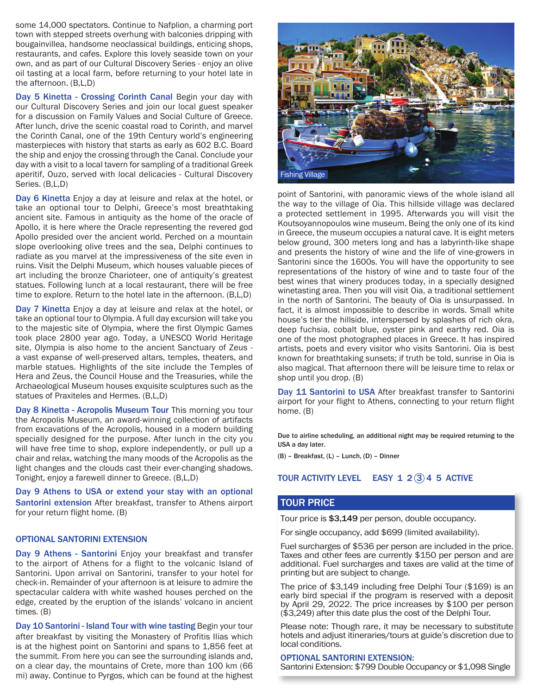some 14,000 spectators. Continue to Nafplion, a charming port town with stepped streets overhung with balconies dripping with bougainvillea, handsome neoclassical buildings, enticing shops, restaurants, and cafes. Explore this lovely seaside town on your own, and as part of our Cultural Discovery Series - enjoy an olive oil tasting at a local farm, before returning to your hotel late in the afternoon. (B,L,D)

Day 5 Kinetta - Crossing Corinth Canal Begin your day with our Cultural Discovery Series and join our local guest speaker for a discussion on Family Values and Social Culture of Greece. After lunch, drive the scenic coastal road to Corinth, and marvel the Corinth Canal, one of the 19th Century world's engineering masterpieces with history that starts as early as 602 B.C. Board the ship and enjoy the crossing through the Canal. Conclude your day with a visit to a local tavern for sampling of a traditional Greek aperitif, Ouzo, served with local delicacies - Cultural Discovery Series. (B,L,D)

Day 6 Kinetta Enjoy a day at leisure and relax at the hotel, or take an optional tour to Delphi, Greece's most breathtaking ancient site. Famous in antiquity as the home of the oracle of Apollo, it is here where the Oracle representing the revered god Apollo presided over the ancient world. Perched on a mountain slope overlooking olive trees and the sea, Delphi continues to radiate as you marvel at the impressiveness of the site even in ruins. Visit the Delphi Museum, which houses valuable pieces of art including the bronze Charioteer, one of antiquity's greatest statues. Following lunch at a local restaurant, there will be free time to explore. Return to the hotel late in the afternoon. (B,L,D)

Day 7 Kinetta Enjoy a day at leisure and relax at the hotel, or take an optional tour to Olympia. A full day excursion will take you to the majestic site of Olympia, where the first Olympic Games took place 2800 year ago. Today, a UNESCO World Heritage site, Olympia is also home to the ancient Sanctuary of Zeus a vast expanse of well-preserved altars, temples, theaters, and marble statues. Highlights of the site include the Temples of Hera and Zeus, the Council House and the Treasuries, while the Archaeological Museum houses exquisite sculptures such as the statues of Praxiteles and Hermes. (B,L,D)

Day 8 Kinetta - Acropolis Museum Tour This morning you tour the Acropolis Museum, an award-winning collection of artifacts from excavations of the Acropolis, housed in a modern building specially designed for the purpose. After lunch in the city you will have free time to shop, explore independently, or pull up a chair and relax, watching the many moods of the Acropolis as the light changes and the clouds cast their ever-changing shadows. Tonight, enjoy a farewell dinner to Greece. (B,L,D)

Day 9 Athens to USA or extend your stay with an optional Santorini extension After breakfast, transfer to Athens airport for your return flight home. (B)

#### OPTIONAL SANTORINI EXTENSION

Day 9 Athens - Santorini Enjoy your breakfast and transfer to the airport of Athens for a flight to the volcanic Island of Santorini. Upon arrival on Santorini, transfer to your hotel for check-in. Remainder of your afternoon is at leisure to admire the spectacular caldera with white washed houses perched on the edge, created by the eruption of the islands' volcano in ancient times. (B)

Day 10 Santorini - Island Tour with wine tasting Begin your tour after breakfast by visiting the Monastery of Profitis Ilias which is at the highest point on Santorini and spans to 1,856 feet at the summit. From here you can see the surrounding islands and, on a clear day, the mountains of Crete, more than 100 km (66 mi) away. Continue to Pyrgos, which can be found at the highest

![](_page_2_Picture_9.jpeg)

point of Santorini, with panoramic views of the whole island all the way to the village of Oia. This hillside village was declared a protected settlement in 1995. Afterwards you will visit the Koutsoyannopoulos wine museum. Being the only one of its kind in Greece, the museum occupies a natural cave. It is eight meters below ground, 300 meters long and has a labyrinth-like shape and presents the history of wine and the life of vine-growers in Santorini since the 1600s. You will have the opportunity to see representations of the history of wine and to taste four of the best wines that winery produces today, in a specially designed winetasting area. Then you will visit Oia, a traditional settlement in the north of Santorini. The beauty of Oia is unsurpassed. In fact, it is almost impossible to describe in words. Small white house's tier the hillside, interspersed by splashes of rich okra, deep fuchsia, cobalt blue, oyster pink and earthy red. Oia is one of the most photographed places in Greece. It has inspired artists, poets and every visitor who visits Santorini. Oia is best known for breathtaking sunsets; if truth be told, sunrise in Oia is also magical. That afternoon there will be leisure time to relax or shop until you drop. (B)

Day 11 Santorini to USA After breakfast transfer to Santorini airport for your flight to Athens, connecting to your return flight home. (B)

Due to airline scheduling, an additional night may be required returning to the USA a day later.

(B) – Breakfast, (L) – Lunch, (D) – Dinner

### TOUR ACTIVITY LEVEL EASY  $1\ 2\overline{3}$  4 5 ACTIVE

### TOUR PRICE

Tour price is \$3,149 per person, double occupancy.

For single occupancy, add \$699 (limited availability).

Fuel surcharges of \$536 per person are included in the price. Taxes and other fees are currently \$150 per person and are additional. Fuel surcharges and taxes are valid at the time of printing but are subject to change.

The price of \$3,149 including free Delphi Tour (\$169) is an early bird special if the program is reserved with a deposit by April 29, 2022. The price increases by \$100 per person (\$3,249) after this date plus the cost of the Delphi Tour.

Please note: Though rare, it may be necessary to substitute hotels and adjust itineraries/tours at guide's discretion due to local conditions.

#### OPTIONAL SANTORINI EXTENSION:

Santorini Extension: \$799 Double Occupancy or \$1,098 Single